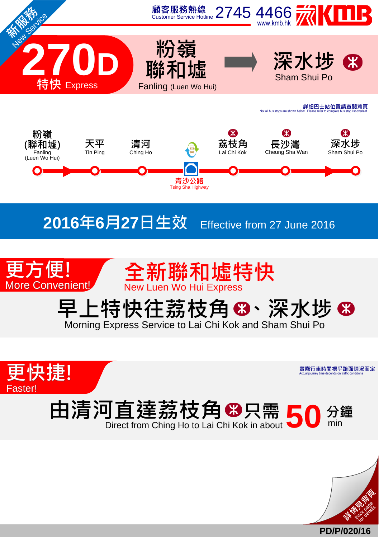